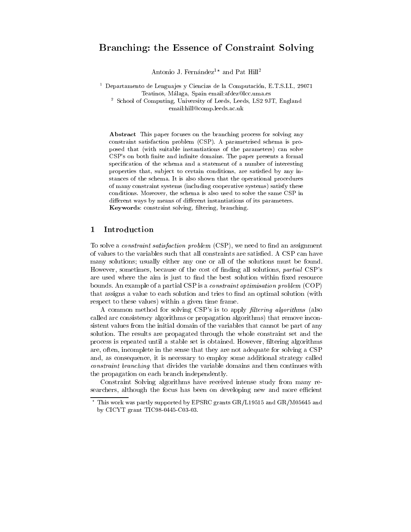# Branching: the Essence of Constraint Solving

Antonio J. Fernández<sup>1\*</sup> and Pat Hill<sup>2</sup>

<sup>1</sup> Departamento de Lengua jes y Ciencias de la Computacion, E.T.S.I.I., 29071 Teatinos, Malaga, Spain email:afdez@lcc.uma.es <sup>2</sup> School of Computing, University of Leeds, Leeds, LS2 9JT, England email:hill@comp.leeds.ac.uk

Abstract This paper focuses on the branching process for solving any constraint satisfaction problem (CSP). A parametrised schema is proposed that (with suitable instantiations of the parameters) can solve CSP's on both finite and infinite domains. The paper presents a formal specification of the schema and a statement of a number of interesting properties that, subject to certain conditions, are satisfied by any instances of the schema. It is also shown that the operational procedures of many constraint systems (including cooperative systems) satisfy these conditions. Moreover, the schema is also used to solve the same CSP in different ways by means of different instantiations of its parameters. Keywords: constraint solving, filtering, branching.

### 1Introduction

To solve a *constraint satisfaction problem* (CSP), we need to find an assignment of values to the variables such that all constraints are satisfied. A CSP can have many solutions; usually either any one or all of the solutions must be found. However, sometimes, because of the cost of nding all solutions, partial CSP's are used where the aim is just to find the best solution within fixed resource bounds. An example of a partial CSP is a constraint optimisation problem (COP) that assigns a value to each solution and tries to find an optimal solution (with respect to these values) within a given time frame.

A common method for solving CSP's is to apply *filtering algorithms* (also called arc consistency algorithms or propagation algorithms) that remove inconsistent values from the initial domain of the variables that cannot be part of any solution. The results are propagated through the whole constraint set and the process is repeated until a stable set is obtained. However, ltering algorithms are, often, incomplete in the sense that they are not adequate for solving a CSP and, as consequence, it is necessary to employ some additional strategy called constraint branching that divides the variable domains and then continues with the propagation on each branch independently.

Constraint Solving algorithms have received intense study from many researchers, although the focus has been on developing new and more efficient

<sup>?</sup> This work was partly supported by EPSRC grants GR/L19515 and GR/M05645 and by CICYT grant TIC98-0445-C03-03.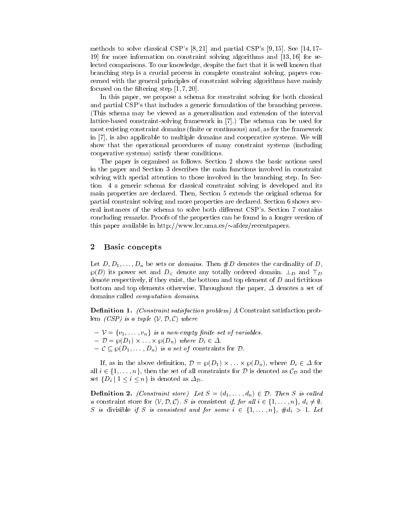methods to solve classical CSP's  $[8, 21]$  and partial CSP's  $[9, 15]$ . See  $[14, 17-$ 19] for more information on constraint solving algorithms and [13, 16] for selected comparisons. To our knowledge, despite the fact that it is well known that branching step is a crucial process in complete constraint solving, papers concerned with the general principles of constraint solving algorithms have mainly focused on the filtering step  $[1, 7, 20]$ .

In this paper, we propose a schema for constraint solving for both classical and partial CSP's that includes a generic formulation of the branching process. (This schema may be viewed as a generalisation and extension of the interval lattice-based constraint-solving framework in [7].) The schema can be used for most existing constraint domains (finite or continuous) and, as for the framework in [7], is also applicable to multiple domains and cooperative systems. We will show that the operational procedures of many constraint systems (including cooperative systems) satisfy these conditions.

The paper is organised as follows. Section 2 shows the basic notions used in the paper and Section 3 describes the main functions involved in constraint solving with special attention to those involved in the branching step. In Section 4 a generic schema for classical constraint solving is developed and its main properties are declared. Then, Section 5 extends the original schema for partial constraint solving and more properties are declared. Section 6 shows several instances of the schema to solve both different CSP's. Section 7 contains concluding remarks. Proofs of the properties can be found in a longer version of this paper available in http://www.lcc.uma.es/ $\sim$ afdez/recentpapers.

# 2Basic concepts

Let  $D, D_1, \ldots, D_n$  be sets or *domains*. Then  $\#D$  denotes the cardinality of D,  $\wp(D)$  its power set and  $D<$  denote any totally ordered domain.  $\perp_D$  and  $\perp_D$ denote respectively, if they exist, the bottom and top element of  $D$  and fictitious bottom and top elements otherwise. Throughout the paper,  $\Delta$  denotes a set of domains called computation domains.

**Definition 1.** (Constraint satisfaction problem) A Constraint satisfaction problem  $(CSP)$  is a tuple  $\langle V, D, C \rangle$  where

- $V = \{v_1, \ldots, v_n\}$  is a non-empty finite set of variables.
- { D <sup>=</sup> }(D1) ::: }(Dn) where Di <sup>2</sup> .
- $C \subseteq \wp(D_1,\ldots,D_n)$  is a set of constraints for  $D$ .

 $\begin{array}{ccc} \bullet & \bullet & \bullet & \bullet & \bullet\ \bullet & \bullet & \bullet & \bullet & \bullet\ \bullet & \bullet & \bullet & \bullet & \bullet\ \bullet & \bullet & \bullet & \bullet & \bullet\ \bullet & \bullet & \bullet & \bullet & \bullet & \bullet\ \bullet & \bullet & \bullet & \bullet & \bullet & \bullet\ \bullet & \bullet & \bullet & \bullet & \bullet & \bullet\ \bullet & \bullet & \bullet & \bullet & \bullet & \bullet\ \bullet & \bullet & \bullet & \bullet & \bullet & \bullet\ \bullet & \bullet & \bullet & \bullet & \bullet & \bullet\ \bullet & \bullet & \bullet & \bullet & \bullet & \bullet\ \bullet & \bullet & \bullet & \bullet & \bullet & \bullet & \bullet\ \bullet & \bullet &$ all  $i \in \{1,\ldots,n\}$ , then the set of all constraints for D is denoted as  $\mathcal{C}_{\mathcal{D}}$  and the set  $\{D_i \mid 1 \leq i \leq n\}$  is denoted as  $\Delta_{\mathcal{D}}$ .

**Definition 2.** (Constraint store) Let  $S = (d_1, \ldots, d_n) \in \mathcal{D}$ . Then S is called a constraint store for  $\langle V, \mathcal{D}, \mathcal{C} \rangle$ . S is consistent if, for all  $i \in \{1,\ldots,n\}, d_i \neq \emptyset$ . S is divisible if S is consistent and for some  $i \in \{1,\ldots,n\}$ ,  $\#d_i > 1$ . Let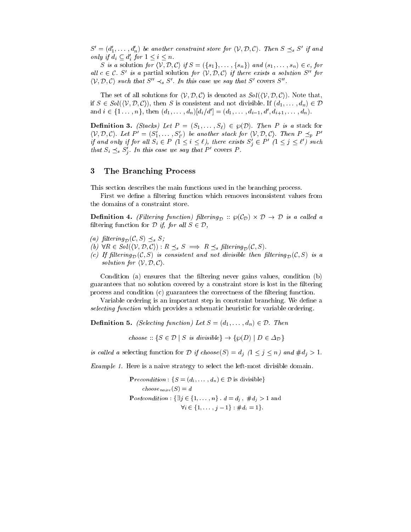$S' = (d'_1,\ldots,d'_n)$  be another constraint store for  $\langle V,D,\mathcal{C} \rangle$ . Then  $S \preceq_s S'$  if and only if  $d_i \subseteq d'_i$  for  $1 \leq i \leq n$ .

S is a solution for  $\langle V, \mathcal{D}, \mathcal{C} \rangle$  if  $S = (\{s_1\},\ldots,\{s_n\})$  and  $(s_1,\ldots,s_n) \in c$ , for all  $c \in \mathcal{C}$ . S' is a partial solution for  $\langle V, \mathcal{D}, \mathcal{C} \rangle$  if there exists a solution S'' for  $\langle V, \mathcal{D}, \mathcal{C} \rangle$  such that  $S'' \prec_{s} S'$ . In this case we say that  $S'$  covers  $S''$ .

The set of all solutions for  $\langle V, \mathcal{D}, \mathcal{C} \rangle$  is denoted as  $Sol(\langle V, \mathcal{D}, \mathcal{C} \rangle)$ . Note that, if  $S \in Sol(\langle V, \mathcal{D}, \mathcal{C} \rangle)$ , then S is consistent and not divisible. If  $(d_1,\ldots,d_n) \in \mathcal{D}$ and  $i \in \{1, \ldots, n\}$ , then  $(d_1, \ldots, d_n)[d_i/d'] = (d_1, \ldots, d_{i-1}, d', d_{i+1}, \ldots, d_n).$ 

**Definition 3.** (Stacks) Let  $P = (S_1, \ldots, S_\ell) \in \wp(\mathcal{D})$ . Then P is a stack for  $\langle V, \mathcal{D}, \mathcal{C} \rangle$ . Let  $P' = (S_1', \ldots, S_{\ell'}')$  be another stack for  $\langle V, \mathcal{D}, \mathcal{C} \rangle$ . Then  $P \preceq_p P'$ if and only if for all  $S_i \in P$  ( $1 \leq i \leq \ell$ ), there exists  $S_j \in P$  ( $1 \leq j \leq \ell$ ) such that  $S_i \leq_s S_j$ . In this case we say that P covers P.

# 3The Branching Process

This section describes the main functions used in the branching process.

First we define a filtering function which removes inconsistent values from the domains of a constraint store.

 $\Gamma$  ----------- - (Filtering function) function)  $D$  is  $\mathfrak{g}^{\nu}$  (PD) is a called a called a called a called filtering function for  $D$  if, for all  $S \in \mathcal{D}$ ,

- (a) filtering  $_{\mathcal{D}}(\mathcal{C}, S) \preceq_s S$ ;
- (b)  $\forall R \in Sol(\langle V, D, C \rangle) : R \preceq_s S \implies R \preceq_s filtering_{\mathcal{D}}(\mathcal{C}, S).$
- (c) If filtering  $p(\mathcal{C}, S)$  is consistent and not divisible then filtering  $p(\mathcal{C}, S)$  is a solution for  $\langle V, \mathcal{D}, \mathcal{C} \rangle$ .

Condition (a) ensures that the filtering never gains values, condition (b) guarantees that no solution covered by a constraint store is lost in the filtering process and condition (c) guarantees the correctness of the ltering function.

Variable ordering is an important step in constraint branching. We define a selecting function which provides a schematic heuristic for variable ordering.

**Definition 5.** (Selecting function) Let  $S = (d_1, \ldots, d_n) \in \mathcal{D}$ . Then

choose ::  $\{S \in \mathcal{D} \mid S \text{ is divisible}\} \rightarrow \{\wp(D) \mid D \in \Delta_{\mathcal{D}}\}$ 

is called a selecting function for D if choose  $(S) = d_j \ (1 \leq j \leq n)$  and  $\#d_j > 1$ .

Example 1. Here is a naive strategy to select the left-most divisible domain.

**Precondition**:  $\{S = (d_1, \ldots, d_n) \in \mathcal{D} \text{ is divisible}\}\$ choose naive (S) = <sup>d</sup> Postcondition :  $\{\exists j \in \{1,\ldots,n\} : d = d_j, \#d_j > 1 \text{ and }$  $\forall i \in \{1,\ldots,i-1\} : \#d_i = 1\}.$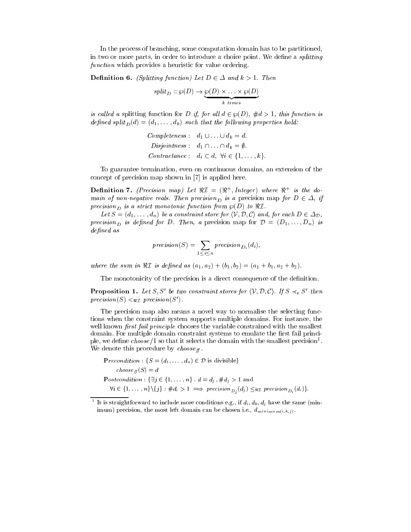In the process of branching, some computation domain has to be partitioned, in two or more parts, in order to introduce a choice point. We define a *splitting* function which provides a heuristic for value ordering.

**Definition 6.** (Splitting function) Let  $D \in \Delta$  and  $k > 1$ . Then

$$
split_D :: \wp(D) \to \underbrace{\wp(D) \times \ldots \times \wp(D)}_{k \ times}
$$

is called a splitting function for D if, for all  $d \in \varphi(D)$ ,  $\#d > 1$ , this function is  $\alpha$  spint  $\alpha$  be properties following properties  $\alpha$  . The following properties holding

Completeness: 
$$
d_1 \cup \ldots \cup d_k = d
$$
.

\nDisjointness:  $d_1 \cap \ldots \cap d_k = \emptyset$ .

\nContractance:  $d_i \subset d$ ,  $\forall i \in \{1, \ldots, k\}$ .

To guarantee termination, even on continuous domains, an extension of the concept of precision map shown in [7] is applied here.

**Demition 1.** (Precision map) Let  $\pi L = (\pi, Im \ell)$  where  $\pi - i s$  ine aomain of non-negative reals. Then precision is a precision map for  $D \in \Delta$ , if precision<sub>D</sub> is a strict monotonic function from  $\wp(D)$  to  $\Re\mathcal{I}$ .

Let  $S = (d_1, \ldots, d_n)$  be a constraint store for  $\langle V, \mathcal{D}, \mathcal{C} \rangle$  and, for each  $D \in \Delta_{\mathcal{D}}$ , precision<sub>D</sub> is defined for D. Then, a precision map for  $\mathcal{D} = (D_1, \ldots, D_n)$  is defined as

$$
precision(S) = \sum_{1 \leq i \leq n} precision_{D_i}(d_i),
$$

where the sum in  $\Re \mathcal{I}$  is defined as  $(a_1, a_2) + (b_1, b_2) = (a_1 + b_1, a_2 + b_2).$ 

The monotonicity of the precision is a direct consequence of the definition.

**Proposition 1.** Let S, S' be two constraint stores for  $\langle V, \mathcal{D}, \mathcal{C} \rangle$ . If  $S \prec_{s} S'$  then  $precision(S) \leq_{\Re\mathcal{I}} precision(S')$ .

The precision map also means a novel way to normalise the selecting functions when the constraint system supports multiple domains. For instance, the well known was just fail principle chooses the variable constrained with the smallest constrained with the smallest domain. For multiple domain constraint systems to emulate the first fail principle, we define  $choose$  i so that it selects the domain with the smallest precision-. where  $\alpha$  denotes the procedure by choose  $\alpha$   $\mu$  .

```
Precondition : \{S = (d_1, \ldots, d_n) \in \mathcal{D} \text{ is divisible}\}\choose in the discussion of the contract of the contract of the contract of the contract of the contract of th
Postcondition : \{\exists j \in \{1,\ldots,n\} : d = d_j, \#d_j > 1 \text{ and }\forall i \in \{1,\ldots,n\} \backslash \{j\} : \#d_i > 1 \implies \text{precision}_{D_i}(d_j) \leq_{\Re \mathcal{I}} \text{precision}_{D_i}(d_i)\}.
```
It is straightforward to include more conditions e.g., if  $a_i$ ,  $a_k$ ,  $a_j$  have the same (minimum) precision, the most left domain can be chosen i.e.,  $d_{minimum(i,k,j)}$ .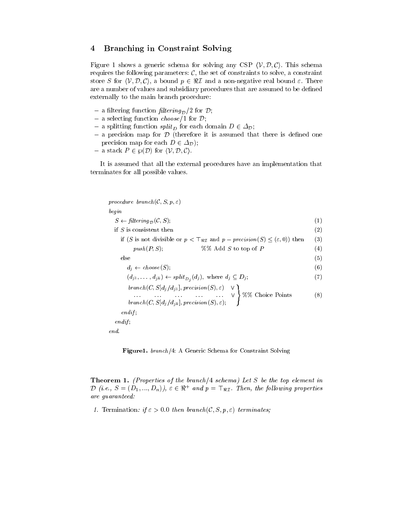# 4Branching in Constraint Solving

Figure 1 shows a generic schema for solving any CSP  $\langle V, \mathcal{D}, \mathcal{C} \rangle$ . This schema requires the following parameters:  $C$ , the set of constraints to solve, a constraint store S for  $\langle V, \mathcal{D}, \mathcal{C} \rangle$ , a bound  $p \in \Re \mathcal{I}$  and a non-negative real bound  $\varepsilon$ . There are a number of values and subsidiary procedures that are assumed to be defined externally to the main branch procedure:

- a filtering function filtering  $\mathcal{D}/2$  for  $\mathcal{D}$ ;
- $=$  a selecting function *choose*/1 for  $\mathcal{D}$ ;
- $-$  a splitting function split<sub>D</sub> for each domain  $D \in \Delta_{\mathcal{D}}$ ;
- $-$  a precision map for  $D$  (therefore it is assumed that there is defined one precision map for each  $D \in \Delta_{\mathcal{D}}$ );
- $-$  a stack  $P \in \mathcal{P}(\mathcal{D})$  for  $\langle \mathcal{V}, \mathcal{D}, \mathcal{C} \rangle$ .

It is assumed that all the external procedures have an implementation that terminates for all possible values.

| procedure branch(C, S, p, $\varepsilon$ )                                                                               |     |
|-------------------------------------------------------------------------------------------------------------------------|-----|
| begin                                                                                                                   |     |
| $S \leftarrow \text{filtering}_{\mathcal{D}}(\mathcal{C}, S);$                                                          | (1) |
| if $S$ is consistent then                                                                                               | (2) |
| if (S is not divisible or $p < \mathsf{T}_{\Re \mathcal{I}}$ and $p - \text{precision}(S) \leq (\varepsilon, 0)$ ) then | (3) |
| $%$ % Add S to top of P<br>$push(P, S)$ ;                                                                               | (4) |
| else                                                                                                                    | (5) |
| $d_i \leftarrow choose(S)$                                                                                              | (6) |
| $(d_{j1},\ldots,d_{jk}) \leftarrow split_{D_j}(d_j),$ where $d_j \subseteq D_j;$                                        | (7) |
|                                                                                                                         | (8) |
| endif                                                                                                                   |     |
| $endif$ :                                                                                                               |     |
| end.                                                                                                                    |     |

Figure1. branch/4: A Generic Schema for Constraint Solving

**Theorem 1.** (Properties of the branch/4 schema) Let S be the top element in  $D$  (i.e.,  $S = (D_1, ..., D_n)$ ),  $\varepsilon \in \mathfrak{R}$  and  $p = \pm \mathfrak{R}$ . Then, the following properties are guaranteed:

1. Termination: if  $\varepsilon > 0.0$  then branch(C, S, p,  $\varepsilon$ ) terminates;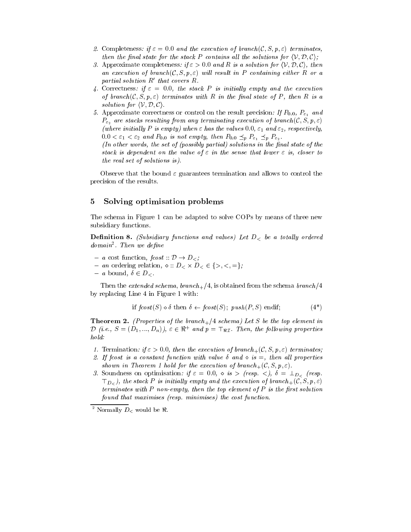- 2. Completeness: if  $\varepsilon = 0.0$  and the execution of branch(C, S, p,  $\varepsilon$ ) terminates, then the final state for the stack P contains all the solutions for  $\langle V, \mathcal{D}, \mathcal{C} \rangle$ ;
- 3. Approximate completeness: if  $\varepsilon > 0.0$  and R is a solution for  $\langle V, \mathcal{D}, \mathcal{C} \rangle$ , then an execution of branch  $(C, S, p, \varepsilon)$  will result in P containing either R or a partial solution  $R'$  that covers  $R$ .
- 4. Correctness: if  $\varepsilon = 0.0$ , the stack P is initially empty and the execution of branch( $\mathcal{C}, S, p, \varepsilon$ ) terminates with R in the final state of P, then R is a solution for  $\langle V, \mathcal{D}, \mathcal{C} \rangle$ .
- 5. Approximate correctness or control on the result precision: If  $P_{0.0}$ ,  $P_{\varepsilon_1}$  and  $P_{\varepsilon_2}$  are stacks resulting from any terminating execution of branch  $(C, S, p, \varepsilon)$ (where initially P is empty) when  $\varepsilon$  has the values 0.0,  $\varepsilon_1$  and  $\varepsilon_2$ , respectively,  $0.0 < \varepsilon_1 < \varepsilon_2$  and  $P_{0.0}$  is not empty, then  $P_{0.0} \preceq_p P_{\varepsilon_1} \preceq_p P_{\varepsilon_2}$ .

(In other words, the set of (possibly partial) solutions in the final state of the stack is dependent on the value of  $\varepsilon$  in the sense that lower  $\varepsilon$  is, closer to the real set of solutions is).

Observe that the bound  $\varepsilon$  guarantees termination and allows to control the precision of the results.

# 5Solving optimisation problems

The schema in Figure 1 can be adapted to solve COPs by means of three new subsidiary functions.

**Definition 8.** (Subsidiary functions and values) Let  $D<sub>5</sub>$  be a totally ordered aomann . Inen we aeµne

- $a \text{ cost function},$  fcost ::  $\mathcal{D} \rightarrow D_{\leq}$ ;
- $\alpha$  is creating relation,  $\alpha$  if  $D \lt \alpha$  is  $\alpha$  is  $\alpha$  is  $\alpha$ .
- $a$  bound,  $\delta \in D_{\leq}$ .

Then the extended schema, branch  $\pm/4$ , is obtained from the schema branch /4 by replacing Line 4 in Figure 1 with:

if 
$$
fcost(S) \diamond \delta
$$
 then  $\delta \leftarrow fcost(S)$ ;  $push(P, S)$  endif; (4<sup>\*</sup>)

**Theorem 2.** (Properties of the branch<sub>+</sub>/4 schema) Let S be the top element in  $D$  (i.e.,  $S = (D_1, ..., D_n)$ ),  $\varepsilon \in \mathfrak{A}$  and  $p = \pm \mathfrak{B}$ . Then, the following properties hold:

- 1. Termination: if  $\varepsilon > 0.0$ , then the execution of branch<sub>+</sub>(C, S, p,  $\varepsilon$ ) terminates;
- 2. If fcost is a constant function with value  $\delta$  and  $\delta$  is  $=$ , then all properties shown in Theorem 1 hold for the execution of branch  $(\mathcal{C}, S, p, \varepsilon)$ .
- 3. Soundness on optimisation: if  $\varepsilon = 0.0$ ,  $\diamond$  is  $>$  (resp.  $\lt$ ),  $\delta = \perp_{D_{\lt}}$  (resp.  $\top_{D_{\leq}}$ ), the stack P is initially empty and the execution of branch  $_{+}(\mathcal{C}, S, p, \varepsilon)$ terminates with  $P$  non-empty, then the top element of  $P$  is the first solution found that maximises (resp. minimises) the cost function.

 $^2$  Normally  $D_<$  would be  $\Re$ .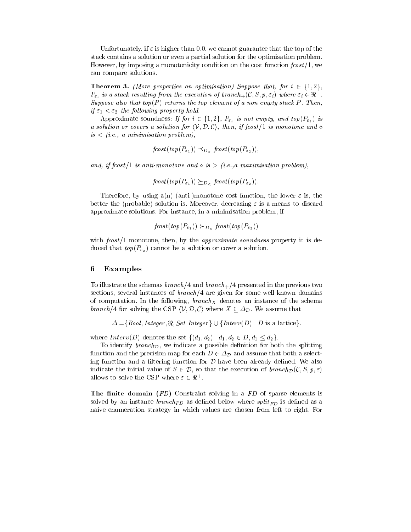Unfortunately, if  $\varepsilon$  is higher than 0.0, we cannot guarantee that the top of the stack contains a solution or even a partial solution for the optimisation problem. However, by imposing a monotonicity condition on the cost function  $fcost/1$ , we can compare solutions.

**Theorem 3.** (More properties on optimisation) Suppose that, for  $i \in \{1,2\}$ ,  $\mathcal{F}_{\varepsilon_i}$  is a stack resulting from the execution of branch  $_+(\mathcal{C}, \mathcal{S}, p, \varepsilon_i)$  where  $\varepsilon_i \in \mathfrak{n}$ Suppose also that top(P) returns the top element of a non empty stack P. Then, if  $\varepsilon_1 < \varepsilon_2$  the following property hold.

Approximate soundness: If for  $i \in \{1, 2\}$ ,  $P_{\varepsilon_i}$  is not empty, and top( $P_{\varepsilon_2}$ ) is a solution or covers a solution for  $\langle V, \mathcal{D}, \mathcal{C} \rangle$ , then, if fcost/1 is monotone and  $\diamond$  $is < (i.e., a minimisation problem)$ ,

$$
fcost(top(P_{\varepsilon_1})) \preceq_{D_{\leq}} fcost(top(P_{\varepsilon_2})),
$$

and, if fcost  $/1$  is anti-monotone and  $\circ$  is  $>$   $(i.e., a$  maximisation problem),

$$
fcost(top(P_{\varepsilon_1})) \succeq_{D_{\varepsilon}} fcost(top(P_{\varepsilon_2})).
$$

Therefore, by using a(n) (anti-)monotone cost function, the lower  $\varepsilon$  is, the better the (probable) solution is. Moreover, decreasing  $\varepsilon$  is a means to discard approximate solutions. For instance, in a minimisation problem, if

$$
fcost(top(P_{\varepsilon_1})) \succ_{D_{\leq}} fcost(top(P_{\varepsilon_2}))
$$

with  $fcost/1$  monotone, then, by the *approximate soundness* property it is deduced that  $top(P_{\varepsilon_2})$  cannot be a solution or cover a solution.

## 6Examples

To illustrate the schemas branch  $/4$  and branch  $+4$  presented in the previous two sections, several instances of  $branch/4$  are given for some well-known domains of computation. In the following, branch  $\Delta$  denotes an instance of the schema instance of the schema instance of the schema instance of the schema instance of the schema instance of the schema instance of the schema ins branch/4 for solving the CSP  $\langle V, \mathcal{D}, \mathcal{C} \rangle$  where  $X \subseteq \Delta_{\mathcal{D}}$ . We assume that

 $\Delta = \{Bool, Integer, \Re, Set Integer\} \cup \{Interv(D) | D \text{ is a lattice}\}.$ 

where  $Interv(D)$  denotes the set  $\{(d_1, d_2) | d_1, d_2 \in D, d_1 \leq d_2\}.$ 

To identify branch<sub> $\mathcal{D}$ </sub>, we indicate a possible definition for both the splitting function and the precision map for each  $D \in \Delta_{\mathcal{D}}$  and assume that both a selecting function and a filtering function for  $D$  have been already defined. We also indicate the initial value of  $S \in \mathcal{D}$ , so that the execution of  $branch_{\mathcal{D}}(\mathcal{C}, S, p, \varepsilon)$ allows to solve the CSP where  $\varepsilon \in \pi$ .

The finite domain  $(FD)$  Constraint solving in a  $FD$  of sparse elements is solved by an instance branchFD as definite branchFD as a split is defined as a split is defined as a split of  $\Gamma$  $$ naive enumeration strategy in which values are chosen from left to right. For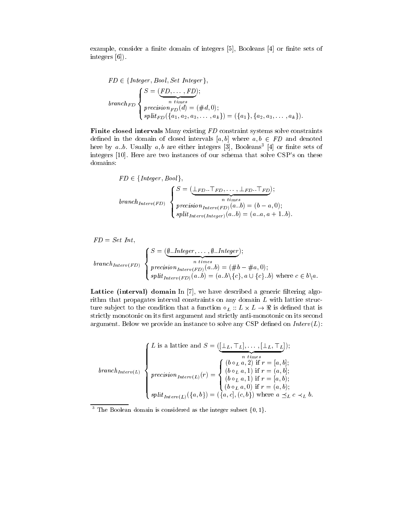example, consider a finite domain of integers [5], Booleans [4] or finite sets of integers [6]).

$$
FD \in \{Integer, Bool, Set\ Integer\},\
$$
  

$$
branch_{FD} \n\begin{cases}\nS = (\underbrace{FD, \dots, FD}_{n \ times}); \\
precision_{FD}(d) = (\#d, 0); \\
split_{FD} (\{a_1, a_2, a_3, \dots, a_k\}) = (\{a_1\}, \{a_2, a_3, \dots, a_k\}).\n\end{cases}
$$

Finite closed intervals Many existing FD constraint systems solve constraints defined in the domain of closed intervals  $[a, b]$  where  $a, b \in FD$  and denoted here by  $a_{ij}$ . Usually  $a, b$  are either integers [5], Booleans [4] or finite sets of integers [10]. Here are two instances of our schema that solve CSP's on these domains:

$$
FD \in \{Integer, Bool\},\n\begin{cases}\nS = (\underbrace{\perp_{FD}.\top_{FD}, \dots, \perp_{FD}.\top_{FD}});\n\end{cases}
$$
\n
$$
branch_{Interv(FD)} \begin{cases}\nS = (\underbrace{\perp_{FD}.\top_{FD}, \dots, \perp_{FD}.\top_{FD}});\n\end{cases}
$$
\n
$$
precision_{Interv(FD)}(a.b) = (b - a, 0);
$$
\n
$$
split_{Interv(Integer)}(a.b) = (a.a, a + 1.b).
$$

 $FD = Set Int,$ 

$$
branch_{Interv(FD)} \n\begin{cases}\nS = (\underbrace{\emptyset..Integer, \dots, \emptyset..Integer}_{n \text{ times}});\n\\ precision_{Interv(FD)}(a.b) = (\#b - \#a, 0);\n\\ split_{Interv(FD)}(a.b) = (a.b \setminus \{c\}, a \cup \{c\}.b) \text{ where } c \in b \setminus a.\n\end{cases}
$$

Lattice (interval) domain In [7], we have described a generic filtering algorithm that propagates interval constraints on any domain  $L$  with lattice structure substitution to the condition that a function  $L$  ::  $\pm$  ::  $\pm$  :: L  $\pm$  section that is defined to strictly monotonic on its first argument and strictly anti-monotonic on its second argument. Below we provide an instance to solve any CSP defined on  $Interv(L)$ :

$$
branch_{Interv(L)} \left\{\n\begin{aligned}\nL \text{ is a lattice and } S &= (\underbrace{[\bot_L, \top_L], \dots, [\bot_L, \top_L]}_{n \text{ times}}); \\
\text{branch}_{Interv(L)} \left\{\n\begin{aligned}\n& \text{precision}_{Interv(L)}(r) = \n\begin{cases}\n(b \circ_L a, 2) & \text{if } r = [a, b]; \\
(b \circ_L a, 1) & \text{if } r = (a, b]; \\
(b \circ_L a, 1) & \text{if } r = [a, b); \\
(b \circ_L a, 0) & \text{if } r = (a, b); \\
(b \circ_L a, 0) & \text{if } r = (a, b); \\
(b \circ_L a, 0) & \text{if } r = (a, b); \\
\end{cases}\n\end{aligned}\n\right.
$$

<sup>3</sup> The Boolean domain is considered as the integer subset  $\{0, 1\}$ .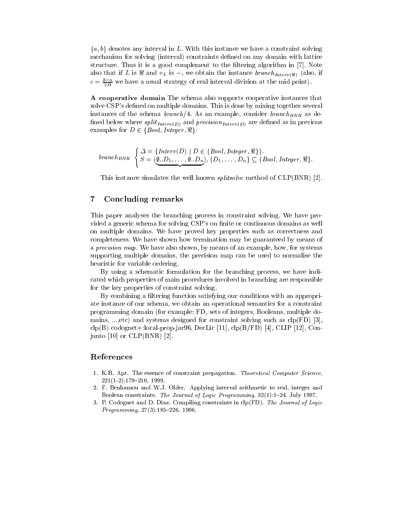${a, b}$  denotes any interval in L. With this instance we have a constraint solving mechanism for solving (interval) constraints defined on any domain with lattice structure. Thus it is a good complement to the filtering algorithm in [7]. Note also that if  $\mu$  is the instance  $L$  is , we obtain the instance branching  $\mu_{L}(y,y)$  (also, if  $\mu_{L}(y)$  $c = \frac{1}{2.0}$  we have a usual strategy of real interval division at the mid point).

A cooperative domain The schema also supports cooperative instances that solve CSP's defined on multiple domains. This is done by mixing together several instances of the schema branch  $\Gamma$  and  $\Gamma$  and  $\Gamma$ need below where spirit  $(n \, \ell \, m)$  and  $p \, \ell \, m$  are denoted as in previous  $n \, \ell \, m$  are denoted as in previous  $m$  $\cdots$ examples for  $\alpha = 2$  fbool  $\alpha = 2$  fbool  $\alpha = 2$  fbool  $\alpha = 2$ 

$$
branch_{BNR} \left\{\n\begin{aligned}\n\Delta &= \{Interv(D) \mid D \in \{Bool, Integer, \Re\}\}, \\
S &= (\underbrace{\emptyset..D_1,\ldots,\emptyset..D_n}), \{D_1,\ldots,D_n\} \subseteq \{Bool, Integer, \Re\}.\n\end{aligned}\n\right.
$$

 ${\bf x}$  ,  ${\bf y}$  and  ${\bf x}$  and  ${\bf y}$  and  ${\bf y}$  and  ${\bf y}$  and  ${\bf y}$  and  ${\bf y}$  and  ${\bf y}$ 

This instance simulates the well known splitsolve method of CLP(BNR) [2].

# 7Concluding remarks

This paper analyses the branching process in constraint solving. We have provided a generic schema for solving CSP's on finite or continuous domains as well on multiple domains. We have proved key properties such as correctness and completeness. We have shown how termination may be guaranteed by means of a precision map. We have also shown, by means of an example, how, for systems supporting multiple domains, the precision map can be used to normalise the heuristic for variable ordering.

By using a schematic formulation for the branching process, we have indicated which properties of main procedures involved in branching are responsible for the key properties of constraint solving.

By combining a filtering function satisfying our conditions with an appropriate instance of our schema, we obtain an operational semantics for a constraint programming domain (for example: FD, sets of integers, Booleans, multiple domains, ...,etc) and systems designed for constraint solving such as clp(FD) [3],  $clp(B)$  codognet+:local-prop-jar96, DecLic [11],  $clp(B/FD)$  [4], CLIP [12], Conjunto  $[10]$  or  $CLP(BNR)$   $[2]$ .

# References

- 1. K.R. Apt. The essence of constraint propagation. Theoretical Computer Science,  $221(1-2):179-210, 1999.$
- 2. F. Benhamou and W.J. Older. Applying interval arithmetic to real, integer and Boolean constraints. The Journal of Logic Programming, 32(1):1-24, July 1997.
- 3. P. Codognet and D. Diaz. Compiling constraints in clp(FD). The Journal of Logic  $Programming, 27(3):185-226, 1996.$